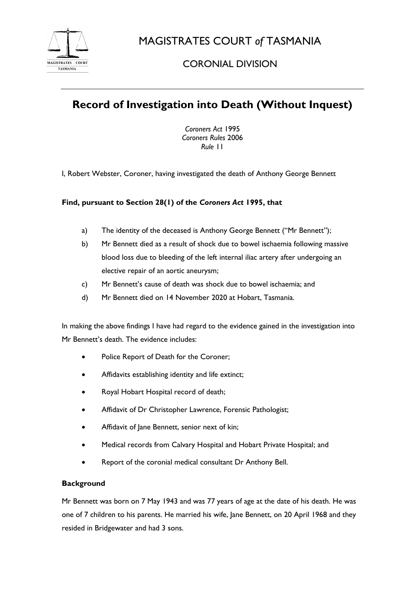

MAGISTRATES COURT *of* TASMANIA

## CORONIAL DIVISION

# **Record of Investigation into Death (Without Inquest)**

*Coroners Act* 1995 *Coroners Rules* 2006 *Rule* 11

I, Robert Webster, Coroner, having investigated the death of Anthony George Bennett

## **Find, pursuant to Section 28(1) of the** *Coroners Act* **1995, that**

- a) The identity of the deceased is Anthony George Bennett ("Mr Bennett");
- b) Mr Bennett died as a result of shock due to bowel ischaemia following massive blood loss due to bleeding of the left internal iliac artery after undergoing an elective repair of an aortic aneurysm;
- c) Mr Bennett's cause of death was shock due to bowel ischaemia; and
- d) Mr Bennett died on 14 November 2020 at Hobart, Tasmania.

In making the above findings I have had regard to the evidence gained in the investigation into Mr Bennett's death. The evidence includes:

- Police Report of Death for the Coroner;
- Affidavits establishing identity and life extinct;
- Royal Hobart Hospital record of death;
- Affidavit of Dr Christopher Lawrence, Forensic Pathologist;
- Affidavit of Jane Bennett, senior next of kin;
- Medical records from Calvary Hospital and Hobart Private Hospital; and
- Report of the coronial medical consultant Dr Anthony Bell.

### **Background**

Mr Bennett was born on 7 May 1943 and was 77 years of age at the date of his death. He was one of 7 children to his parents. He married his wife, Jane Bennett, on 20 April 1968 and they resided in Bridgewater and had 3 sons.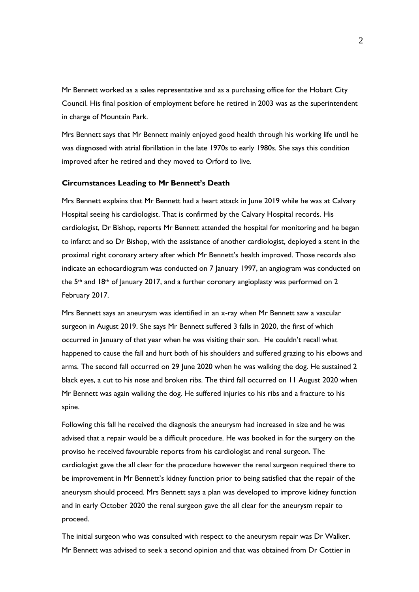Mr Bennett worked as a sales representative and as a purchasing office for the Hobart City Council. His final position of employment before he retired in 2003 was as the superintendent in charge of Mountain Park.

Mrs Bennett says that Mr Bennett mainly enjoyed good health through his working life until he was diagnosed with atrial fibrillation in the late 1970s to early 1980s. She says this condition improved after he retired and they moved to Orford to live.

#### **Circumstances Leading to Mr Bennett's Death**

Mrs Bennett explains that Mr Bennett had a heart attack in June 2019 while he was at Calvary Hospital seeing his cardiologist. That is confirmed by the Calvary Hospital records. His cardiologist, Dr Bishop, reports Mr Bennett attended the hospital for monitoring and he began to infarct and so Dr Bishop, with the assistance of another cardiologist, deployed a stent in the proximal right coronary artery after which Mr Bennett's health improved. Those records also indicate an echocardiogram was conducted on 7 January 1997, an angiogram was conducted on the  $5<sup>th</sup>$  and 18<sup>th</sup> of January 2017, and a further coronary angioplasty was performed on 2 February 2017.

Mrs Bennett says an aneurysm was identified in an x-ray when Mr Bennett saw a vascular surgeon in August 2019. She says Mr Bennett suffered 3 falls in 2020, the first of which occurred in January of that year when he was visiting their son. He couldn't recall what happened to cause the fall and hurt both of his shoulders and suffered grazing to his elbows and arms. The second fall occurred on 29 June 2020 when he was walking the dog. He sustained 2 black eyes, a cut to his nose and broken ribs. The third fall occurred on 11 August 2020 when Mr Bennett was again walking the dog. He suffered injuries to his ribs and a fracture to his spine.

Following this fall he received the diagnosis the aneurysm had increased in size and he was advised that a repair would be a difficult procedure. He was booked in for the surgery on the proviso he received favourable reports from his cardiologist and renal surgeon. The cardiologist gave the all clear for the procedure however the renal surgeon required there to be improvement in Mr Bennett's kidney function prior to being satisfied that the repair of the aneurysm should proceed. Mrs Bennett says a plan was developed to improve kidney function and in early October 2020 the renal surgeon gave the all clear for the aneurysm repair to proceed.

The initial surgeon who was consulted with respect to the aneurysm repair was Dr Walker. Mr Bennett was advised to seek a second opinion and that was obtained from Dr Cottier in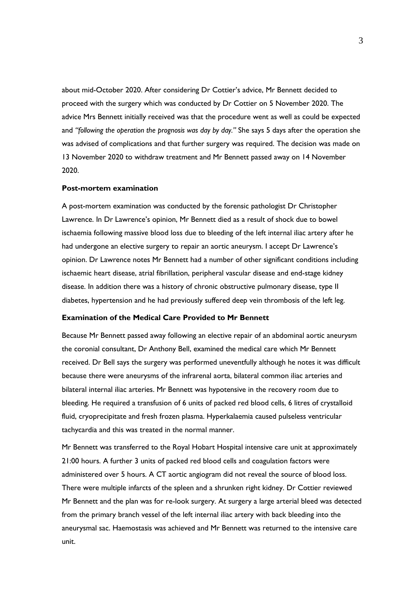about mid-October 2020. After considering Dr Cottier's advice, Mr Bennett decided to proceed with the surgery which was conducted by Dr Cottier on 5 November 2020. The advice Mrs Bennett initially received was that the procedure went as well as could be expected and *"following the operation the prognosis was day by day."* She says 5 days after the operation she was advised of complications and that further surgery was required. The decision was made on 13 November 2020 to withdraw treatment and Mr Bennett passed away on 14 November 2020.

#### **Post-mortem examination**

A post-mortem examination was conducted by the forensic pathologist Dr Christopher Lawrence. In Dr Lawrence's opinion, Mr Bennett died as a result of shock due to bowel ischaemia following massive blood loss due to bleeding of the left internal iliac artery after he had undergone an elective surgery to repair an aortic aneurysm. I accept Dr Lawrence's opinion. Dr Lawrence notes Mr Bennett had a number of other significant conditions including ischaemic heart disease, atrial fibrillation, peripheral vascular disease and end-stage kidney disease. In addition there was a history of chronic obstructive pulmonary disease, type II diabetes, hypertension and he had previously suffered deep vein thrombosis of the left leg.

#### **Examination of the Medical Care Provided to Mr Bennett**

Because Mr Bennett passed away following an elective repair of an abdominal aortic aneurysm the coronial consultant, Dr Anthony Bell, examined the medical care which Mr Bennett received. Dr Bell says the surgery was performed uneventfully although he notes it was difficult because there were aneurysms of the infrarenal aorta, bilateral common iliac arteries and bilateral internal iliac arteries. Mr Bennett was hypotensive in the recovery room due to bleeding. He required a transfusion of 6 units of packed red blood cells, 6 litres of crystalloid fluid, cryoprecipitate and fresh frozen plasma. Hyperkalaemia caused pulseless ventricular tachycardia and this was treated in the normal manner.

Mr Bennett was transferred to the Royal Hobart Hospital intensive care unit at approximately 21:00 hours. A further 3 units of packed red blood cells and coagulation factors were administered over 5 hours. A CT aortic angiogram did not reveal the source of blood loss. There were multiple infarcts of the spleen and a shrunken right kidney. Dr Cottier reviewed Mr Bennett and the plan was for re-look surgery. At surgery a large arterial bleed was detected from the primary branch vessel of the left internal iliac artery with back bleeding into the aneurysmal sac. Haemostasis was achieved and Mr Bennett was returned to the intensive care unit.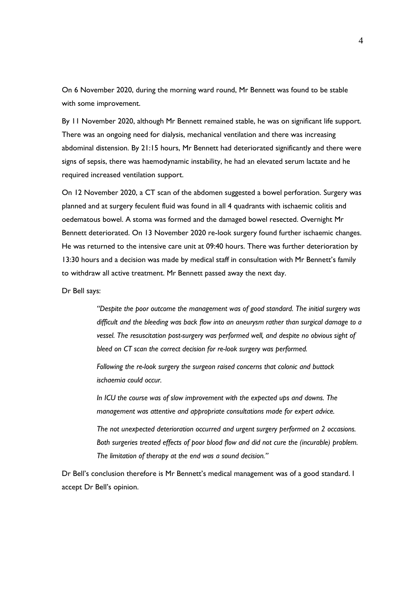On 6 November 2020, during the morning ward round, Mr Bennett was found to be stable with some improvement.

By 11 November 2020, although Mr Bennett remained stable, he was on significant life support. There was an ongoing need for dialysis, mechanical ventilation and there was increasing abdominal distension. By 21:15 hours, Mr Bennett had deteriorated significantly and there were signs of sepsis, there was haemodynamic instability, he had an elevated serum lactate and he required increased ventilation support.

On 12 November 2020, a CT scan of the abdomen suggested a bowel perforation. Surgery was planned and at surgery feculent fluid was found in all 4 quadrants with ischaemic colitis and oedematous bowel. A stoma was formed and the damaged bowel resected. Overnight Mr Bennett deteriorated. On 13 November 2020 re-look surgery found further ischaemic changes. He was returned to the intensive care unit at 09:40 hours. There was further deterioration by 13:30 hours and a decision was made by medical staff in consultation with Mr Bennett's family to withdraw all active treatment. Mr Bennett passed away the next day.

Dr Bell says:

*"Despite the poor outcome the management was of good standard. The initial surgery was difficult and the bleeding was back flow into an aneurysm rather than surgical damage to a vessel. The resuscitation post-surgery was performed well, and despite no obvious sight of bleed on CT scan the correct decision for re-look surgery was performed.*

*Following the re-look surgery the surgeon raised concerns that colonic and buttock ischaemia could occur.*

*In ICU the course was of slow improvement with the expected ups and downs. The management was attentive and appropriate consultations made for expert advice.*

*The not unexpected deterioration occurred and urgent surgery performed on 2 occasions. Both surgeries treated effects of poor blood flow and did not cure the (incurable) problem. The limitation of therapy at the end was a sound decision."*

Dr Bell's conclusion therefore is Mr Bennett's medical management was of a good standard. I accept Dr Bell's opinion.